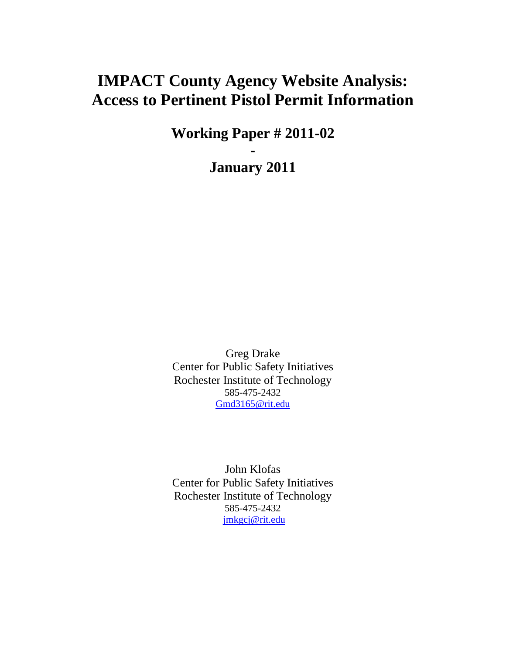# **IMPACT County Agency Website Analysis: Access to Pertinent Pistol Permit Information**

**Working Paper # 2011-02**

**-**

**January 2011**

Greg Drake Center for Public Safety Initiatives Rochester Institute of Technology 585-475-2432 [Gmd3165@rit.edu](mailto:Gmd3165@rit.edu)

John Klofas Center for Public Safety Initiatives Rochester Institute of Technology 585-475-2432 [jmkgcj@rit.edu](mailto:Gmd3165@rit.edu)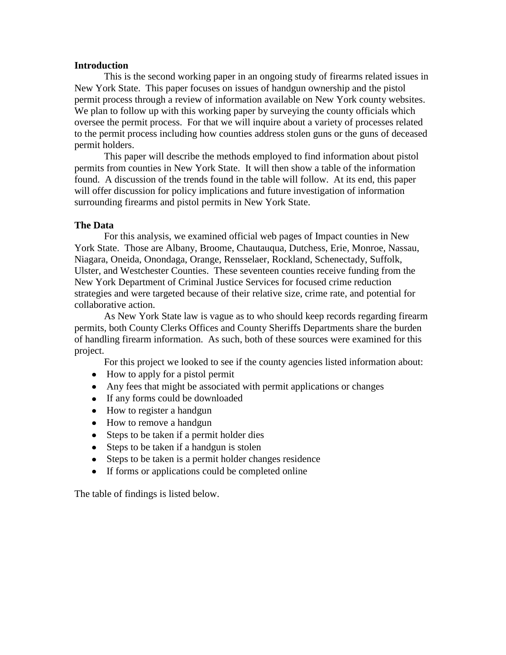### **Introduction**

This is the second working paper in an ongoing study of firearms related issues in New York State. This paper focuses on issues of handgun ownership and the pistol permit process through a review of information available on New York county websites. We plan to follow up with this working paper by surveying the county officials which oversee the permit process. For that we will inquire about a variety of processes related to the permit process including how counties address stolen guns or the guns of deceased permit holders.

This paper will describe the methods employed to find information about pistol permits from counties in New York State. It will then show a table of the information found. A discussion of the trends found in the table will follow. At its end, this paper will offer discussion for policy implications and future investigation of information surrounding firearms and pistol permits in New York State.

# **The Data**

For this analysis, we examined official web pages of Impact counties in New York State. Those are Albany, Broome, Chautauqua, Dutchess, Erie, Monroe, Nassau, Niagara, Oneida, Onondaga, Orange, Rensselaer, Rockland, Schenectady, Suffolk, Ulster, and Westchester Counties. These seventeen counties receive funding from the New York Department of Criminal Justice Services for focused crime reduction strategies and were targeted because of their relative size, crime rate, and potential for collaborative action.

As New York State law is vague as to who should keep records regarding firearm permits, both County Clerks Offices and County Sheriffs Departments share the burden of handling firearm information. As such, both of these sources were examined for this project.

For this project we looked to see if the county agencies listed information about:

- How to apply for a pistol permit
- Any fees that might be associated with permit applications or changes
- If any forms could be downloaded
- How to register a handgun
- How to remove a handgun
- Steps to be taken if a permit holder dies
- Steps to be taken if a handgun is stolen  $\bullet$
- Steps to be taken is a permit holder changes residence
- If forms or applications could be completed online

The table of findings is listed below.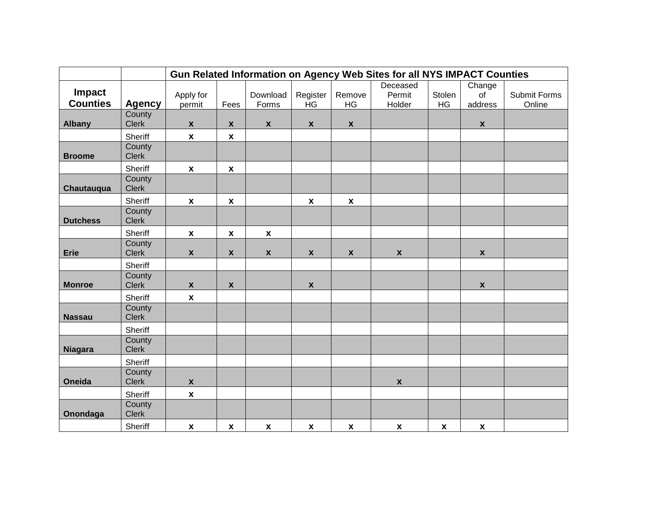|                           |                        | Gun Related Information on Agency Web Sites for all NYS IMPACT Counties |                    |                           |                    |                    |                    |                    |                    |              |  |
|---------------------------|------------------------|-------------------------------------------------------------------------|--------------------|---------------------------|--------------------|--------------------|--------------------|--------------------|--------------------|--------------|--|
|                           |                        |                                                                         |                    |                           |                    |                    | Deceased           |                    | Change             |              |  |
| Impact<br><b>Counties</b> |                        | Apply for                                                               |                    | Download                  | Register           | Remove             | Permit             | Stolen             | of                 | Submit Forms |  |
|                           | <b>Agency</b>          | permit                                                                  | Fees               | Forms                     | <b>HG</b>          | <b>HG</b>          | Holder             | HG                 | address            | Online       |  |
| <b>Albany</b>             | County<br><b>Clerk</b> | $\pmb{\mathsf{X}}$                                                      | $\boldsymbol{x}$   | $\pmb{\mathsf{X}}$        | $\mathbf{x}$       | $\mathbf{x}$       |                    |                    | $\pmb{\mathsf{X}}$ |              |  |
|                           | Sheriff                | $\boldsymbol{\mathsf{X}}$                                               | $\pmb{\chi}$       |                           |                    |                    |                    |                    |                    |              |  |
|                           | County                 |                                                                         |                    |                           |                    |                    |                    |                    |                    |              |  |
| <b>Broome</b>             | <b>Clerk</b>           |                                                                         |                    |                           |                    |                    |                    |                    |                    |              |  |
|                           | <b>Sheriff</b>         | $\pmb{\chi}$                                                            | $\pmb{\chi}$       |                           |                    |                    |                    |                    |                    |              |  |
|                           | County                 |                                                                         |                    |                           |                    |                    |                    |                    |                    |              |  |
| Chautauqua                | <b>Clerk</b>           |                                                                         |                    |                           |                    |                    |                    |                    |                    |              |  |
|                           | Sheriff                | $\boldsymbol{\mathsf{x}}$                                               | $\pmb{\chi}$       |                           | $\boldsymbol{x}$   | $\pmb{\mathsf{x}}$ |                    |                    |                    |              |  |
| <b>Dutchess</b>           | County<br><b>Clerk</b> |                                                                         |                    |                           |                    |                    |                    |                    |                    |              |  |
|                           |                        |                                                                         |                    |                           |                    |                    |                    |                    |                    |              |  |
|                           | Sheriff<br>County      | $\boldsymbol{\mathsf{X}}$                                               | $\pmb{\chi}$       | $\pmb{\mathsf{x}}$        |                    |                    |                    |                    |                    |              |  |
| <b>Erie</b>               | <b>Clerk</b>           | $\pmb{\mathsf{x}}$                                                      | $\pmb{\mathsf{x}}$ | $\pmb{\mathsf{x}}$        | $\pmb{\mathsf{X}}$ | $\pmb{\mathsf{X}}$ | $\pmb{\mathsf{x}}$ |                    | $\pmb{\mathsf{X}}$ |              |  |
|                           | Sheriff                |                                                                         |                    |                           |                    |                    |                    |                    |                    |              |  |
|                           | County                 |                                                                         |                    |                           |                    |                    |                    |                    |                    |              |  |
| <b>Monroe</b>             | <b>Clerk</b>           | $\pmb{\mathsf{X}}$                                                      | $\pmb{\chi}$       |                           | $\pmb{\mathsf{X}}$ |                    |                    |                    | $\pmb{\mathsf{x}}$ |              |  |
|                           | Sheriff                | $\boldsymbol{\mathsf{X}}$                                               |                    |                           |                    |                    |                    |                    |                    |              |  |
|                           | County                 |                                                                         |                    |                           |                    |                    |                    |                    |                    |              |  |
| <b>Nassau</b>             | <b>Clerk</b>           |                                                                         |                    |                           |                    |                    |                    |                    |                    |              |  |
|                           | Sheriff                |                                                                         |                    |                           |                    |                    |                    |                    |                    |              |  |
| <b>Niagara</b>            | County<br><b>Clerk</b> |                                                                         |                    |                           |                    |                    |                    |                    |                    |              |  |
|                           | Sheriff                |                                                                         |                    |                           |                    |                    |                    |                    |                    |              |  |
|                           | County                 |                                                                         |                    |                           |                    |                    |                    |                    |                    |              |  |
| Oneida                    | <b>Clerk</b>           | $\pmb{\mathsf{X}}$                                                      |                    |                           |                    |                    | $\pmb{\mathsf{x}}$ |                    |                    |              |  |
|                           | Sheriff                | $\pmb{\chi}$                                                            |                    |                           |                    |                    |                    |                    |                    |              |  |
|                           | County                 |                                                                         |                    |                           |                    |                    |                    |                    |                    |              |  |
| Onondaga                  | <b>Clerk</b>           |                                                                         |                    |                           |                    |                    |                    |                    |                    |              |  |
|                           | Sheriff                | $\pmb{\chi}$                                                            | $\pmb{\chi}$       | $\boldsymbol{\mathsf{X}}$ | $\pmb{\mathsf{x}}$ | $\pmb{\chi}$       | $\pmb{\mathsf{X}}$ | $\pmb{\mathsf{X}}$ | $\pmb{\mathsf{x}}$ |              |  |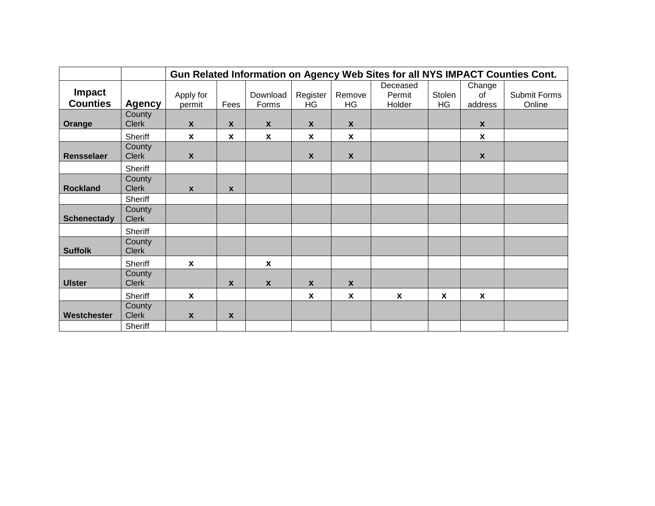|                           |                        | Gun Related Information on Agency Web Sites for all NYS IMPACT Counties Cont. |                           |                   |                  |                           |                              |                           |                         |                        |  |
|---------------------------|------------------------|-------------------------------------------------------------------------------|---------------------------|-------------------|------------------|---------------------------|------------------------------|---------------------------|-------------------------|------------------------|--|
| Impact<br><b>Counties</b> | <b>Agency</b>          | Apply for<br>permit                                                           | Fees                      | Download<br>Forms | Register<br>HG   | Remove<br>HG              | Deceased<br>Permit<br>Holder | Stolen<br>HG              | Change<br>0f<br>address | Submit Forms<br>Online |  |
| Orange                    | County<br><b>Clerk</b> | $\mathbf{x}$                                                                  | $\boldsymbol{x}$          | $\mathbf{x}$      | $\boldsymbol{x}$ | $\mathbf x$               |                              |                           | X                       |                        |  |
|                           | Sheriff                | $\mathbf{x}$                                                                  | $\mathbf{x}$              | X                 | $\mathbf{x}$     | X                         |                              |                           | X                       |                        |  |
| Rensselaer                | County<br><b>Clerk</b> | $\pmb{\chi}$                                                                  |                           |                   | $\pmb{\chi}$     | $\pmb{\chi}$              |                              |                           | $\mathbf{x}$            |                        |  |
|                           | Sheriff                |                                                                               |                           |                   |                  |                           |                              |                           |                         |                        |  |
| <b>Rockland</b>           | County<br><b>Clerk</b> | $\boldsymbol{x}$                                                              | $\mathbf{x}$              |                   |                  |                           |                              |                           |                         |                        |  |
|                           | Sheriff                |                                                                               |                           |                   |                  |                           |                              |                           |                         |                        |  |
| <b>Schenectady</b>        | County<br><b>Clerk</b> |                                                                               |                           |                   |                  |                           |                              |                           |                         |                        |  |
|                           | Sheriff                |                                                                               |                           |                   |                  |                           |                              |                           |                         |                        |  |
| <b>Suffolk</b>            | County<br><b>Clerk</b> |                                                                               |                           |                   |                  |                           |                              |                           |                         |                        |  |
|                           | Sheriff                | $\mathbf x$                                                                   |                           | $\mathbf{x}$      |                  |                           |                              |                           |                         |                        |  |
| <b>Ulster</b>             | County<br><b>Clerk</b> |                                                                               | $\boldsymbol{x}$          | $\pmb{\chi}$      | $\mathbf x$      | $\pmb{\chi}$              |                              |                           |                         |                        |  |
|                           | <b>Sheriff</b>         | $\boldsymbol{x}$                                                              |                           |                   | $\boldsymbol{x}$ | $\boldsymbol{\mathsf{x}}$ | X                            | $\boldsymbol{\mathsf{x}}$ | X                       |                        |  |
| Westchester               | County<br><b>Clerk</b> | $\boldsymbol{x}$                                                              | $\boldsymbol{\mathsf{x}}$ |                   |                  |                           |                              |                           |                         |                        |  |
|                           | Sheriff                |                                                                               |                           |                   |                  |                           |                              |                           |                         |                        |  |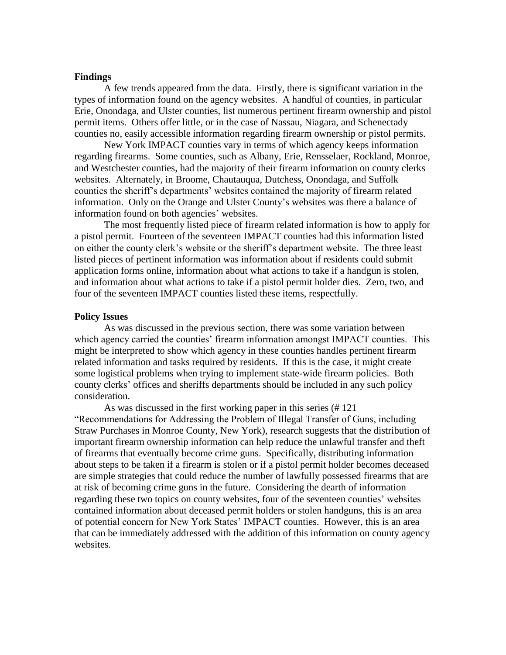#### **Findings**

A few trends appeared from the data. Firstly, there is significant variation in the types of information found on the agency websites. A handful of counties, in particular Erie, Onondaga, and Ulster counties, list numerous pertinent firearm ownership and pistol permit items. Others offer little, or in the case of Nassau, Niagara, and Schenectady counties no, easily accessible information regarding firearm ownership or pistol permits.

New York IMPACT counties vary in terms of which agency keeps information regarding firearms. Some counties, such as Albany, Erie, Rensselaer, Rockland, Monroe, and Westchester counties, had the majority of their firearm information on county clerks websites. Alternately, in Broome, Chautauqua, Dutchess, Onondaga, and Suffolk counties the sheriff's departments' websites contained the majority of firearm related information. Only on the Orange and Ulster County's websites was there a balance of information found on both agencies' websites.

The most frequently listed piece of firearm related information is how to apply for a pistol permit. Fourteen of the seventeen IMPACT counties had this information listed on either the county clerk's website or the sheriff's department website. The three least listed pieces of pertinent information was information about if residents could submit application forms online, information about what actions to take if a handgun is stolen, and information about what actions to take if a pistol permit holder dies. Zero, two, and four of the seventeen IMPACT counties listed these items, respectfully.

#### **Policy Issues**

As was discussed in the previous section, there was some variation between which agency carried the counties' firearm information amongst IMPACT counties. This might be interpreted to show which agency in these counties handles pertinent firearm related information and tasks required by residents. If this is the case, it might create some logistical problems when trying to implement state-wide firearm policies. Both county clerks' offices and sheriffs departments should be included in any such policy consideration.

As was discussed in the first working paper in this series (# 121 "Recommendations for Addressing the Problem of Illegal Transfer of Guns, including Straw Purchases in Monroe County, New York), research suggests that the distribution of important firearm ownership information can help reduce the unlawful transfer and theft of firearms that eventually become crime guns. Specifically, distributing information about steps to be taken if a firearm is stolen or if a pistol permit holder becomes deceased are simple strategies that could reduce the number of lawfully possessed firearms that are at risk of becoming crime guns in the future. Considering the dearth of information regarding these two topics on county websites, four of the seventeen counties' websites contained information about deceased permit holders or stolen handguns, this is an area of potential concern for New York States' IMPACT counties. However, this is an area that can be immediately addressed with the addition of this information on county agency websites.